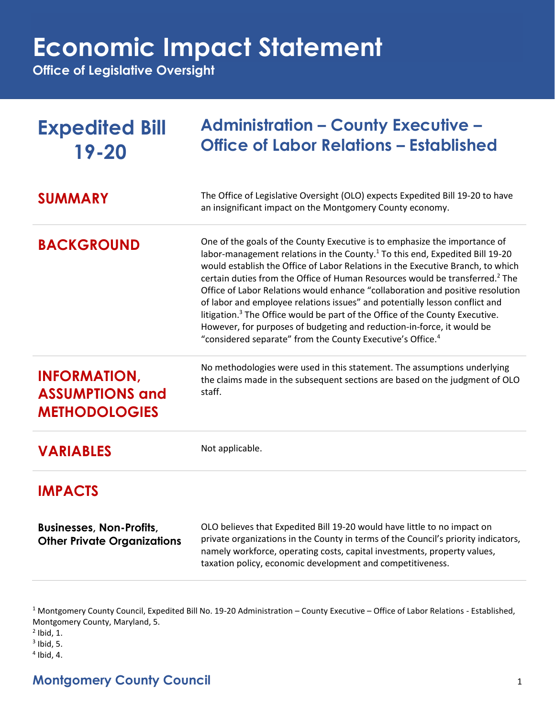## **Economic Impact Statement**

**Office of Legislative Oversight**

| <b>Expedited Bill</b><br>$19 - 20$                                    | <b>Administration - County Executive -</b><br><b>Office of Labor Relations - Established</b>                                                                                                                                                                                                                                                                                                                                                                                                                                                                                                                                                                                                                                                                                                                                                                                                                                      |
|-----------------------------------------------------------------------|-----------------------------------------------------------------------------------------------------------------------------------------------------------------------------------------------------------------------------------------------------------------------------------------------------------------------------------------------------------------------------------------------------------------------------------------------------------------------------------------------------------------------------------------------------------------------------------------------------------------------------------------------------------------------------------------------------------------------------------------------------------------------------------------------------------------------------------------------------------------------------------------------------------------------------------|
| <b>SUMMARY</b>                                                        | The Office of Legislative Oversight (OLO) expects Expedited Bill 19-20 to have<br>an insignificant impact on the Montgomery County economy.                                                                                                                                                                                                                                                                                                                                                                                                                                                                                                                                                                                                                                                                                                                                                                                       |
| <b>BACKGROUND</b><br><b>INFORMATION,</b>                              | One of the goals of the County Executive is to emphasize the importance of<br>labor-management relations in the County. <sup>1</sup> To this end, Expedited Bill 19-20<br>would establish the Office of Labor Relations in the Executive Branch, to which<br>certain duties from the Office of Human Resources would be transferred. <sup>2</sup> The<br>Office of Labor Relations would enhance "collaboration and positive resolution<br>of labor and employee relations issues" and potentially lesson conflict and<br>litigation. <sup>3</sup> The Office would be part of the Office of the County Executive.<br>However, for purposes of budgeting and reduction-in-force, it would be<br>"considered separate" from the County Executive's Office. <sup>4</sup><br>No methodologies were used in this statement. The assumptions underlying<br>the claims made in the subsequent sections are based on the judgment of OLO |
| <b>ASSUMPTIONS and</b><br><b>METHODOLOGIES</b>                        | staff.                                                                                                                                                                                                                                                                                                                                                                                                                                                                                                                                                                                                                                                                                                                                                                                                                                                                                                                            |
| <b>VARIABLES</b>                                                      | Not applicable.                                                                                                                                                                                                                                                                                                                                                                                                                                                                                                                                                                                                                                                                                                                                                                                                                                                                                                                   |
| <b>IMPACTS</b>                                                        |                                                                                                                                                                                                                                                                                                                                                                                                                                                                                                                                                                                                                                                                                                                                                                                                                                                                                                                                   |
| <b>Businesses, Non-Profits,</b><br><b>Other Private Organizations</b> | OLO believes that Expedited Bill 19-20 would have little to no impact on<br>private organizations in the County in terms of the Council's priority indicators,<br>namely workforce, operating costs, capital investments, property values,<br>taxation policy, economic development and competitiveness.                                                                                                                                                                                                                                                                                                                                                                                                                                                                                                                                                                                                                          |

<sup>1</sup> Montgomery County Council, Expedited Bill No. 19-20 Administration – County Executive – Office of Labor Relations - Established, Montgomery County, Maryland, 5.

 $<sup>2</sup>$  Ibid, 1.</sup>

 $3$  Ibid, 5.

4 Ibid, 4.

## **Montgomery County Council** 1